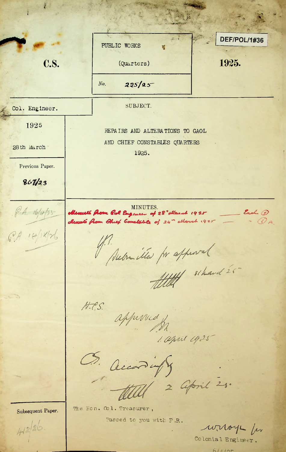**A**  $\mathbb{R}$  . **-A** DEF/POL/1#36 PUBLIC WORKS C.S. (Quarters) 1925.  $225/25$ *No.* SUBJECT. Col. Engineer. 1925 REPAIRS AND ALTERATIONS TO GAOL AND CHIEF CONSTABLES QUARTERS 28th March 1925. Previous Paper. *\$67/13* MINUTES.<br>Menulé Rom Pol Engeneer of 28 " other and 1925  $64.16/453$ *&* Menuts from Chief Constatile of 24" ellerch 1925  $\cdot$   $\omega$ <sub>A</sub>  $69.14/11/16$ Medrille pr appeared  $H.S.$ approved 1. april 1925 S. accordingly Subsequent Paper. The Hon. Col. Treasurer, Passed to you with F.R.  $4/2/26$ wroys for Colonial Engineer . /

 $61110r$ 

**...**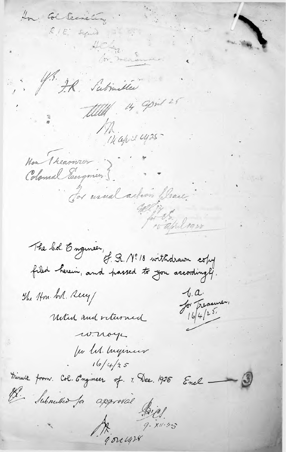How: Col Secretary RIE squid ? Achen. J. J.R. Submitter titlet 14 april 25 Miapri 1425 Non Theariner ) Colomal Eugenier 5. Tor usual action please. 15 april 1928 The bol. Engineer,<br>filed herein, and hassed to you accordingly.  $1. a.$ The 14m. bol. Recy Ja Treasurer, Until and returned w. noye fer U. Ingineer  $16/4/35$ Minute from Col. Engineer of 7. Dec. 1925 Encl \_\_\_ Il Submitted for approval piel  $x^{4}$  de 1478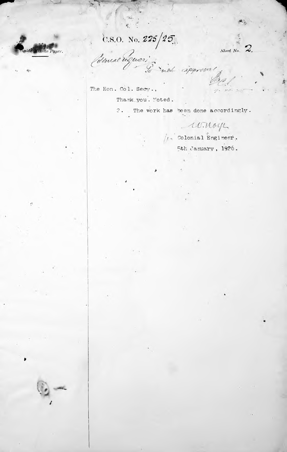$\mathcal{R}^{\perp}$ 

C.S.O. No. 225/25.

ente Paper.

Sheet No.  $\leftrightarrow$ .

The Hon. Col. Secv., Thank you. Moted.

2. The work has been done accordingly.

nde approval

winoy

 $\sqrt{t}$  Colonial Engineer.<br>5th January, 1926.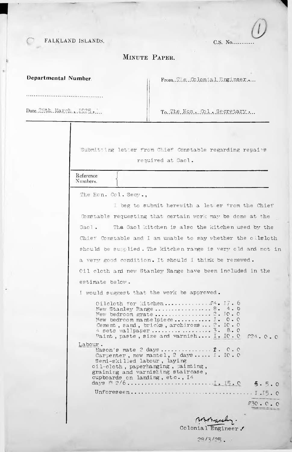FALKLAND ISLANDS.

C.S. No.........

## MINUTE PAPER.

Departmental Number.

From. The Colonial Engineer....

Date. 28th. March. . . 1925.....

To The Hon. Col. Secretary....

Submitting letter from Chief Constable regarding repairs required at Gaol.

Reference Numbers.

The Hon. Col. Secy.,

I beg to submit herewith a let er from the Chief Constable requesting that certain work may be done at the The Gaol kitchen is also the kitchen used by the Gaol. Chief Constable and I am unable to say whether the oilsloth should be supplied. The kitchen range is very old and not in a very good condition. It should I think be renewed. Oil cloth and new Stanley Range have been included in the estimate below.

I would suggest that the work be approved.

| Labour. | Oileloth for kitchen $f_4$ . I7. 6<br>New Stanley Range8. 4. 6<br>New bedroom mantelpiece I. $0.0$<br>Cement, sand, bricks, archirons $2.$ IO. O<br>Paint, paste, size and varnish I. IO. O $$24.0.0$<br>Carpenter, new mantel, 2 days I. IO. O<br>Semi-skilled labour, laying<br>oil-cloth, paperhanging, painting,<br>graining and varnishing staircase,<br>cupboards on landing, etc., I4 |  |  |       |  |
|---------|----------------------------------------------------------------------------------------------------------------------------------------------------------------------------------------------------------------------------------------------------------------------------------------------------------------------------------------------------------------------------------------------|--|--|-------|--|
|         |                                                                                                                                                                                                                                                                                                                                                                                              |  |  | 5.5.0 |  |
|         |                                                                                                                                                                                                                                                                                                                                                                                              |  |  |       |  |
|         |                                                                                                                                                                                                                                                                                                                                                                                              |  |  |       |  |

 $.530 - C - C$ 

somoraschy. Colonial Engineer.

 $28/3/25$ .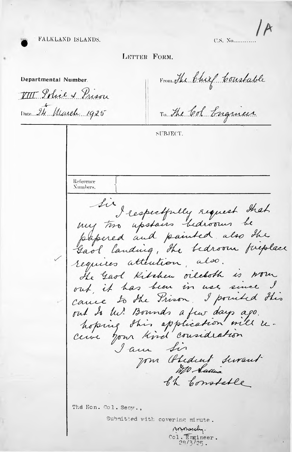C.S. No...........

## LETTER FORM.

FALKLAND ISLANDS.

From The Chief Constable Departmental Number. VIII Solice & Prison Date 24 March 1925 To the Col Engineer SUBJECT. Reference Numbers. Sir I respectfully request that papered and painted also the requires attention, also. He Gaol Kitchen oilekoth is wown out, it has been in use since I.<br>cause to the Prison, I possibed this out to the! Bounds a few days ago. hoping this application will re-<br>cerve your kird consideration I am Sir Jom (blidient surant th Constable The Hon. Col. Secy., Submitted with covering minute. non asely.  $\frac{\cosh \sqrt{\frac{1}{2} \pi}}{2\sqrt{3}}$  /  $\frac{2}{\sqrt{2}}$ .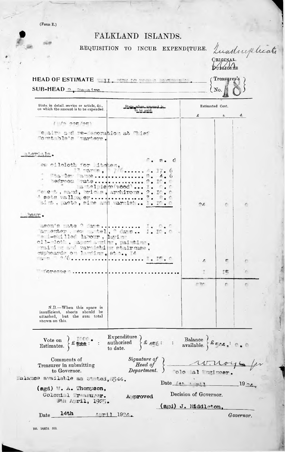$(Form E.)$ 

ol 6

## FALKLAND ISLANDS.

REQUISITION TO INCUR EXPENDITURE.

CRIGINAL.<br>DURATOR DE HEAD OF ESTIMATE TILL THE LOCAL T Treasurer's  $SUB-HEAD_2$   $Pansine_2$ No.

| State, in detail, service or article, &c.,<br>on which the amount is to be expended.                   | State when amount is<br>to be paid.                                             | Estimated Cost.       |    |        |
|--------------------------------------------------------------------------------------------------------|---------------------------------------------------------------------------------|-----------------------|----|--------|
|                                                                                                        |                                                                                 | £                     | s. | d.     |
|                                                                                                        |                                                                                 |                       |    |        |
| e alm a d' re-lecoration at l'ist<br>"oratchle's tarters.                                              |                                                                                 |                       |    |        |
| ateriale.                                                                                              |                                                                                 |                       |    |        |
| ew cilcloth for Mitchen.                                                                               | $\blacksquare$ . $\blacksquare$ . $\blacksquare$<br>$13$ rands, $76$ , $4.17.6$ |                       |    |        |
| Stanley anne  B. 4.6<br>hedroom wate 2. If.<br>"e e t, eand, bricks, architers. 2. IO. O               | a tollem vood  I.                                                               |                       |    |        |
| A sets valles er 3. 8.0<br>aim. paste, size and warmigh I. IO. O                                       |                                                                                 | 26                    | 夼  |        |
| pour.                                                                                                  |                                                                                 |                       |    |        |
| agon's mote ? dave I. O. O<br>am enter , even tel, Comm I. If. O<br>"e 1-ghilled labour, layian        |                                                                                 |                       |    |        |
| oil-doth, apertantin, painting,<br>raining and marmichi m stairmse,<br>cupboarde on larging, et a., Id |                                                                                 |                       |    |        |
|                                                                                                        |                                                                                 | $\cdot$ $\Delta$      | г  |        |
| <b>OTESSE</b><br>.                                                                                     |                                                                                 | z                     | ŢΓ |        |
|                                                                                                        |                                                                                 | E1.25°                | r. | o      |
|                                                                                                        |                                                                                 |                       |    |        |
| $N.B.$ When this space is<br>insufficient, sheets should be<br>attached, but the sum total             |                                                                                 |                       |    |        |
| shown on this.                                                                                         |                                                                                 |                       |    |        |
| Vote on<br>Estimates.                                                                                  | Expenditure<br>authorised<br>to date.                                           | Balance<br>available. |    |        |
| Comments of                                                                                            | Signature of                                                                    |                       |    |        |
| Treasurer in submitting<br>to Governor.                                                                | Head of<br>Department.                                                          | olo al "ngineer.      |    |        |
| Baiance available as stated, 544.                                                                      | Date $\rightarrow$                                                              |                       |    | $19 -$ |
| $(ggd)$ W. $\Lambda$ . Thompson,                                                                       |                                                                                 |                       |    |        |
| Golonial Trasurer.                                                                                     | Approved                                                                        | Decision of Governor. |    |        |

Sth April, 1925. (sgd) J. Middleton,

1:ril 1924.

Governor.

Quarter plicate

Date

 $14<sub>th</sub>$